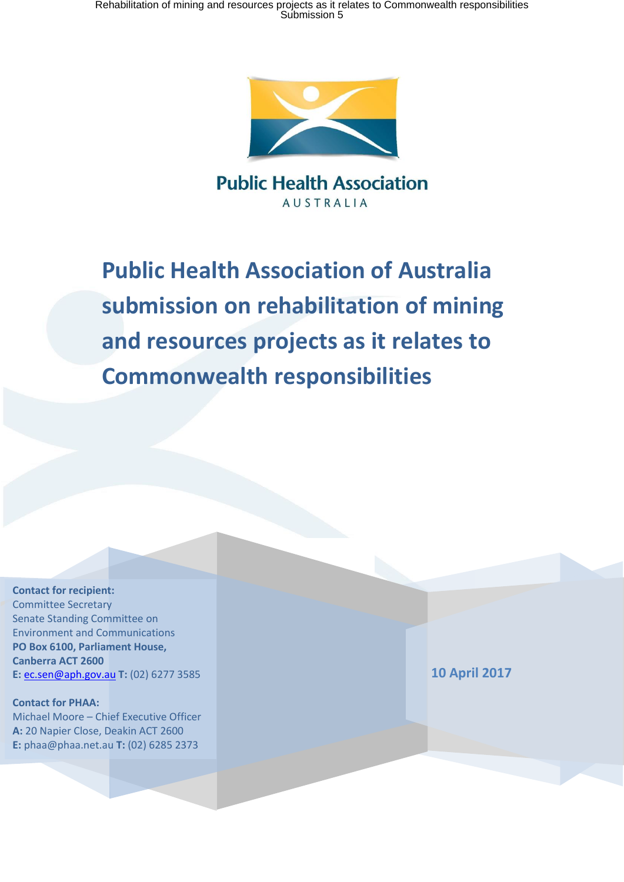

**Public Health Association AUSTRALIA** 

**Public Health Association of Australia submission on rehabilitation of mining and resources projects as it relates to Commonwealth responsibilities**

**Contact for recipient:** Committee Secretary Senate Standing Committee on Environment and Communications **PO Box 6100, Parliament House, Canberra ACT 2600 E:** [ec.sen@aph.gov.au](mailto:ec.sen@aph.gov.au) **T:** (02) 6277 3585

**Contact for PHAA:** Michael Moore – Chief Executive Officer **A:** 20 Napier Close, Deakin ACT 2600 **E:** phaa@phaa.net.au **T:** (02) 6285 2373

**10 April 2017**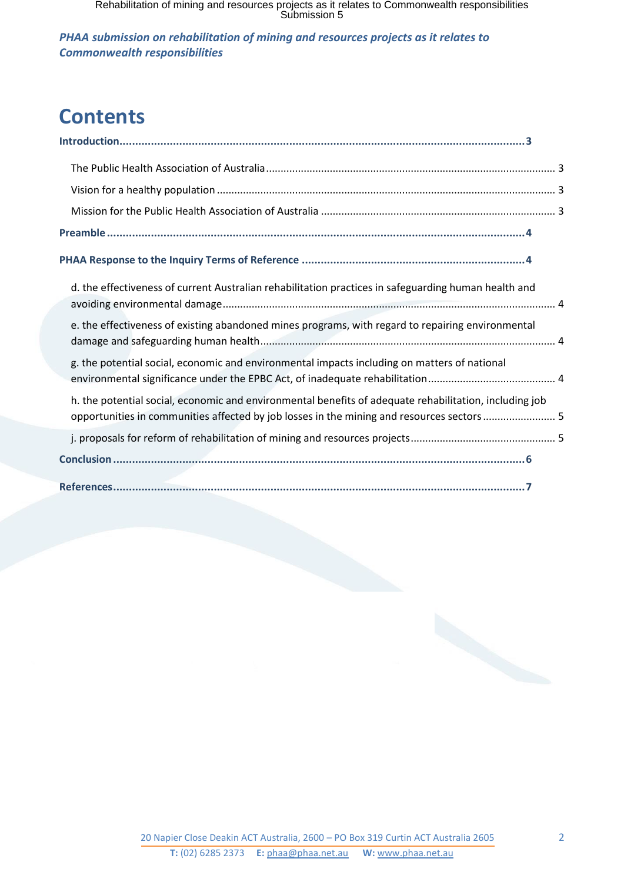*PHAA submission on rehabilitation of mining and resources projects as it relates to Commonwealth responsibilities*

# **Contents**

| d. the effectiveness of current Australian rehabilitation practices in safeguarding human health and                                                                                                 |
|------------------------------------------------------------------------------------------------------------------------------------------------------------------------------------------------------|
| e. the effectiveness of existing abandoned mines programs, with regard to repairing environmental                                                                                                    |
| g. the potential social, economic and environmental impacts including on matters of national                                                                                                         |
| h. the potential social, economic and environmental benefits of adequate rehabilitation, including job<br>opportunities in communities affected by job losses in the mining and resources sectors  5 |
|                                                                                                                                                                                                      |
|                                                                                                                                                                                                      |
|                                                                                                                                                                                                      |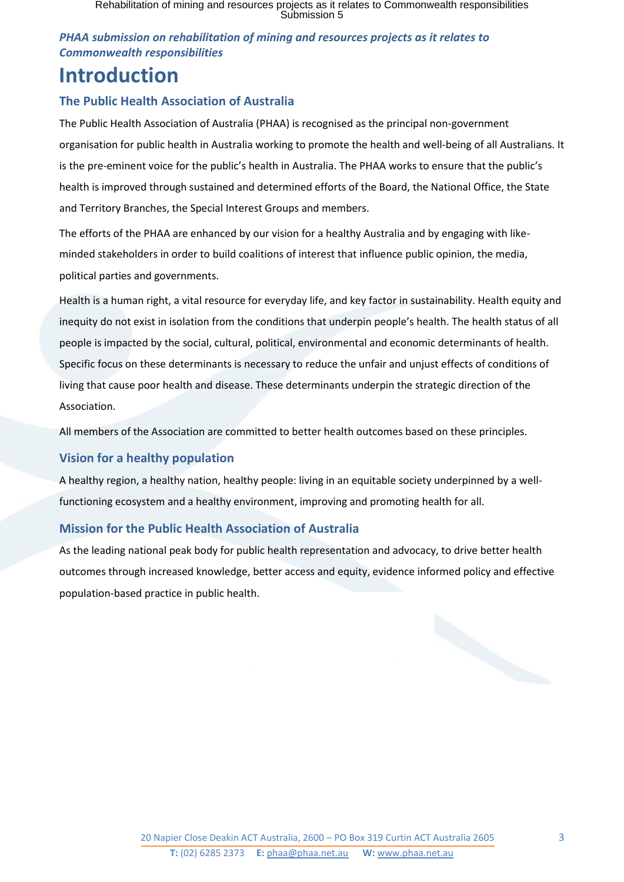### *PHAA submission on rehabilitation of mining and resources projects as it relates to Commonwealth responsibilities*

## <span id="page-2-0"></span>**Introduction**

### <span id="page-2-1"></span>**The Public Health Association of Australia**

The Public Health Association of Australia (PHAA) is recognised as the principal non-government organisation for public health in Australia working to promote the health and well-being of all Australians. It is the pre-eminent voice for the public's health in Australia. The PHAA works to ensure that the public's health is improved through sustained and determined efforts of the Board, the National Office, the State and Territory Branches, the Special Interest Groups and members.

The efforts of the PHAA are enhanced by our vision for a healthy Australia and by engaging with likeminded stakeholders in order to build coalitions of interest that influence public opinion, the media, political parties and governments.

Health is a human right, a vital resource for everyday life, and key factor in sustainability. Health equity and inequity do not exist in isolation from the conditions that underpin people's health. The health status of all people is impacted by the social, cultural, political, environmental and economic determinants of health. Specific focus on these determinants is necessary to reduce the unfair and unjust effects of conditions of living that cause poor health and disease. These determinants underpin the strategic direction of the Association.

All members of the Association are committed to better health outcomes based on these principles.

### <span id="page-2-2"></span>**Vision for a healthy population**

A healthy region, a healthy nation, healthy people: living in an equitable society underpinned by a wellfunctioning ecosystem and a healthy environment, improving and promoting health for all.

### <span id="page-2-3"></span>**Mission for the Public Health Association of Australia**

As the leading national peak body for public health representation and advocacy, to drive better health outcomes through increased knowledge, better access and equity, evidence informed policy and effective population-based practice in public health.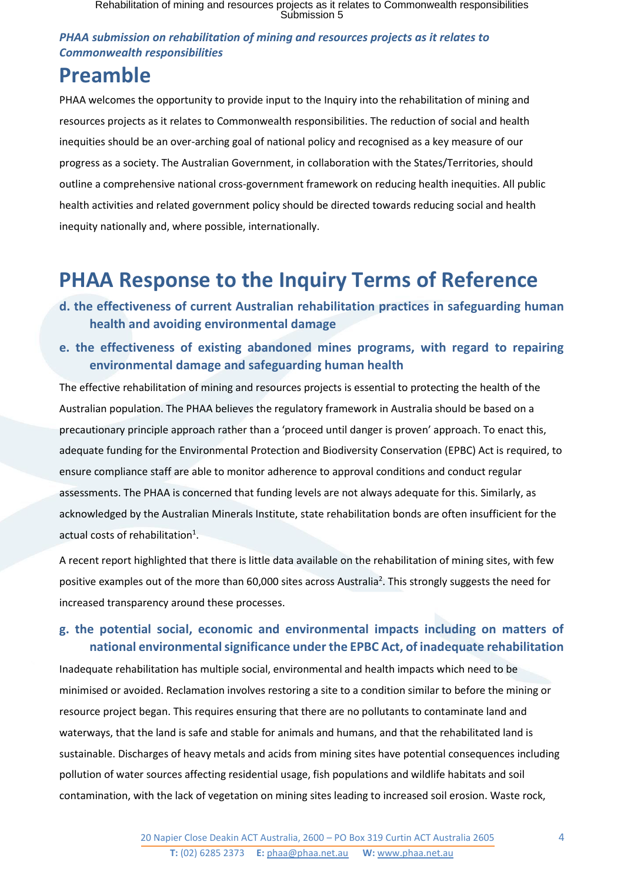### *PHAA submission on rehabilitation of mining and resources projects as it relates to Commonwealth responsibilities*

## <span id="page-3-0"></span>**Preamble**

PHAA welcomes the opportunity to provide input to the Inquiry into the rehabilitation of mining and resources projects as it relates to Commonwealth responsibilities. The reduction of social and health inequities should be an over-arching goal of national policy and recognised as a key measure of our progress as a society. The Australian Government, in collaboration with the States/Territories, should outline a comprehensive national cross-government framework on reducing health inequities. All public health activities and related government policy should be directed towards reducing social and health inequity nationally and, where possible, internationally.

# <span id="page-3-1"></span>**PHAA Response to the Inquiry Terms of Reference**

- <span id="page-3-2"></span>**d. the effectiveness of current Australian rehabilitation practices in safeguarding human health and avoiding environmental damage**
- <span id="page-3-3"></span>**e. the effectiveness of existing abandoned mines programs, with regard to repairing environmental damage and safeguarding human health**

The effective rehabilitation of mining and resources projects is essential to protecting the health of the Australian population. The PHAA believes the regulatory framework in Australia should be based on a precautionary principle approach rather than a 'proceed until danger is proven' approach. To enact this, adequate funding for the Environmental Protection and Biodiversity Conservation (EPBC) Act is required, to ensure compliance staff are able to monitor adherence to approval conditions and conduct regular assessments. The PHAA is concerned that funding levels are not always adequate for this. Similarly, as acknowledged by the Australian Minerals Institute, state rehabilitation bonds are often insufficient for the actual costs of rehabilitation $<sup>1</sup>$ .</sup>

A recent report highlighted that there is little data available on the rehabilitation of mining sites, with few positive examples out of the more than 60,000 sites across Australia<sup>2</sup>. This strongly suggests the need for increased transparency around these processes.

## <span id="page-3-4"></span>**g. the potential social, economic and environmental impacts including on matters of national environmental significance under the EPBC Act, of inadequate rehabilitation**

Inadequate rehabilitation has multiple social, environmental and health impacts which need to be minimised or avoided. Reclamation involves restoring a site to a condition similar to before the mining or resource project began. This requires ensuring that there are no pollutants to contaminate land and waterways, that the land is safe and stable for animals and humans, and that the rehabilitated land is sustainable. Discharges of heavy metals and acids from mining sites have potential consequences including pollution of water sources affecting residential usage, fish populations and wildlife habitats and soil contamination, with the lack of vegetation on mining sites leading to increased soil erosion. Waste rock,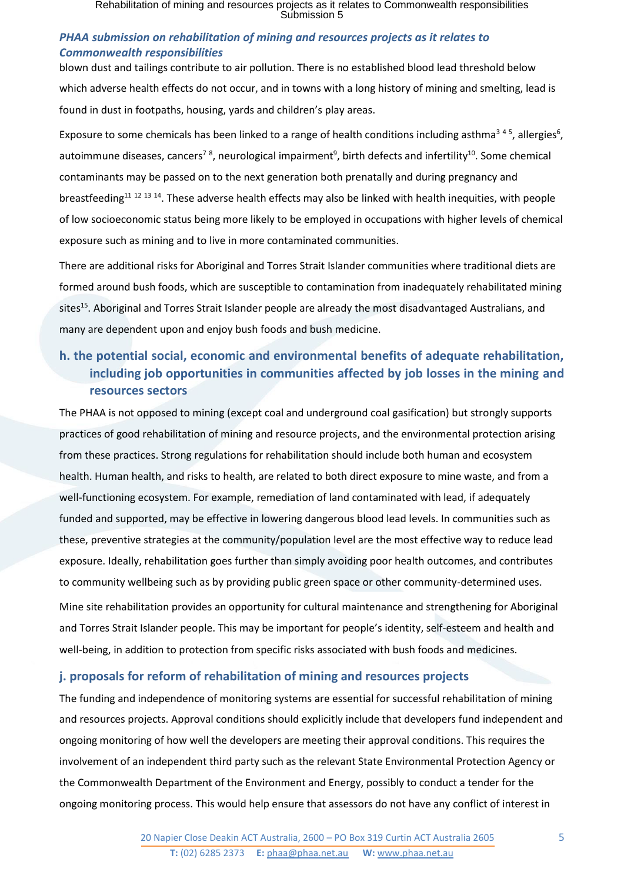#### *PHAA submission on rehabilitation of mining and resources projects as it relates to Commonwealth responsibilities*

blown dust and tailings contribute to air pollution. There is no established blood lead threshold below which adverse health effects do not occur, and in towns with a long history of mining and smelting, lead is found in dust in footpaths, housing, yards and children's play areas.

Exposure to some chemicals has been linked to a range of health conditions including asthma<sup>345</sup>, allergies<sup>6</sup>, autoimmune diseases, cancers<sup>78</sup>, neurological impairment<sup>9</sup>, birth defects and infertility<sup>10</sup>. Some chemical contaminants may be passed on to the next generation both prenatally and during pregnancy and breastfeeding<sup>11 12 13 14</sup>. These adverse health effects may also be linked with health inequities, with people of low socioeconomic status being more likely to be employed in occupations with higher levels of chemical exposure such as mining and to live in more contaminated communities.

There are additional risks for Aboriginal and Torres Strait Islander communities where traditional diets are formed around bush foods, which are susceptible to contamination from inadequately rehabilitated mining sites<sup>15</sup>. Aboriginal and Torres Strait Islander people are already the most disadvantaged Australians, and many are dependent upon and enjoy bush foods and bush medicine.

## <span id="page-4-0"></span>**h. the potential social, economic and environmental benefits of adequate rehabilitation, including job opportunities in communities affected by job losses in the mining and resources sectors**

The PHAA is not opposed to mining (except coal and underground coal gasification) but strongly supports practices of good rehabilitation of mining and resource projects, and the environmental protection arising from these practices. Strong regulations for rehabilitation should include both human and ecosystem health. Human health, and risks to health, are related to both direct exposure to mine waste, and from a well-functioning ecosystem. For example, remediation of land contaminated with lead, if adequately funded and supported, may be effective in lowering dangerous blood lead levels. In communities such as these, preventive strategies at the community/population level are the most effective way to reduce lead exposure. Ideally, rehabilitation goes further than simply avoiding poor health outcomes, and contributes to community wellbeing such as by providing public green space or other community-determined uses.

Mine site rehabilitation provides an opportunity for cultural maintenance and strengthening for Aboriginal and Torres Strait Islander people. This may be important for people's identity, self-esteem and health and well-being, in addition to protection from specific risks associated with bush foods and medicines.

### <span id="page-4-1"></span>**j. proposals for reform of rehabilitation of mining and resources projects**

The funding and independence of monitoring systems are essential for successful rehabilitation of mining and resources projects. Approval conditions should explicitly include that developers fund independent and ongoing monitoring of how well the developers are meeting their approval conditions. This requires the involvement of an independent third party such as the relevant State Environmental Protection Agency or the Commonwealth Department of the Environment and Energy, possibly to conduct a tender for the ongoing monitoring process. This would help ensure that assessors do not have any conflict of interest in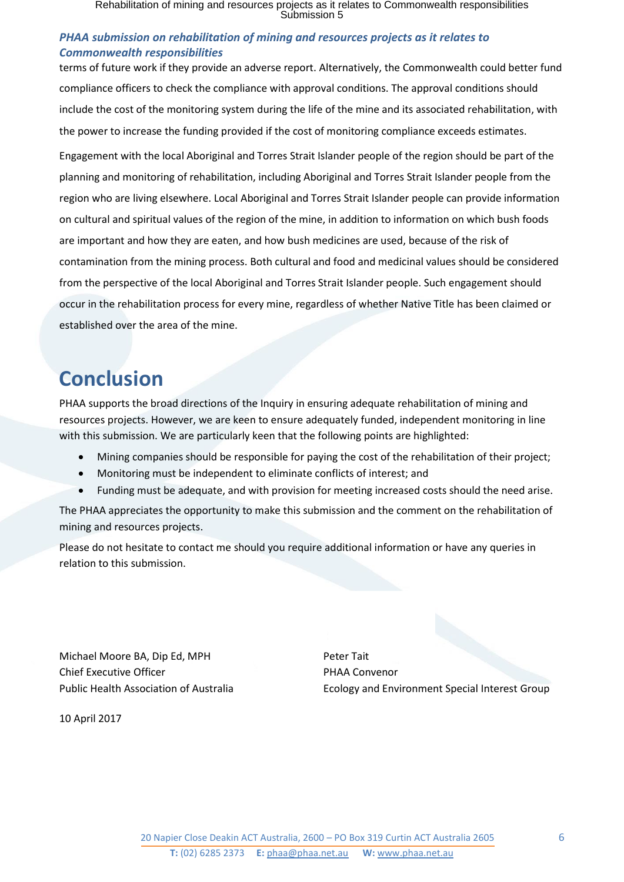#### *PHAA submission on rehabilitation of mining and resources projects as it relates to Commonwealth responsibilities*

terms of future work if they provide an adverse report. Alternatively, the Commonwealth could better fund compliance officers to check the compliance with approval conditions. The approval conditions should include the cost of the monitoring system during the life of the mine and its associated rehabilitation, with the power to increase the funding provided if the cost of monitoring compliance exceeds estimates.

Engagement with the local Aboriginal and Torres Strait Islander people of the region should be part of the planning and monitoring of rehabilitation, including Aboriginal and Torres Strait Islander people from the region who are living elsewhere. Local Aboriginal and Torres Strait Islander people can provide information on cultural and spiritual values of the region of the mine, in addition to information on which bush foods are important and how they are eaten, and how bush medicines are used, because of the risk of contamination from the mining process. Both cultural and food and medicinal values should be considered from the perspective of the local Aboriginal and Torres Strait Islander people. Such engagement should occur in the rehabilitation process for every mine, regardless of whether Native Title has been claimed or established over the area of the mine.

## <span id="page-5-0"></span>**Conclusion**

PHAA supports the broad directions of the Inquiry in ensuring adequate rehabilitation of mining and resources projects. However, we are keen to ensure adequately funded, independent monitoring in line with this submission. We are particularly keen that the following points are highlighted:

- Mining companies should be responsible for paying the cost of the rehabilitation of their project;
- Monitoring must be independent to eliminate conflicts of interest; and
- Funding must be adequate, and with provision for meeting increased costs should the need arise.

The PHAA appreciates the opportunity to make this submission and the comment on the rehabilitation of mining and resources projects.

Please do not hesitate to contact me should you require additional information or have any queries in relation to this submission.

Michael Moore BA, Dip Ed, MPH Peter Tait Chief Executive Officer **PHAA Convenor** 

Public Health Association of Australia Ecology and Environment Special Interest Group

10 April 2017